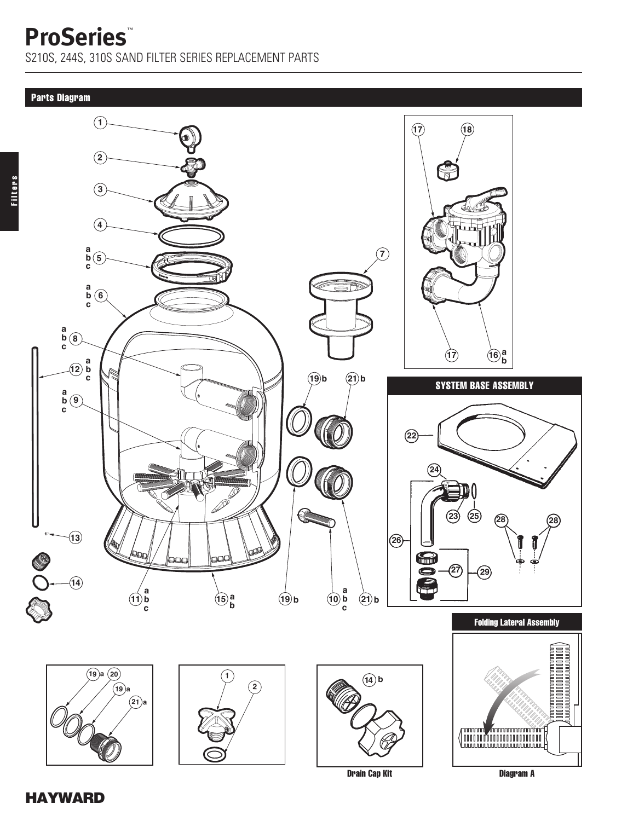S210S, 244S, 310S SAND FILTER SERIES REPLACEMENT PARTS

Filters

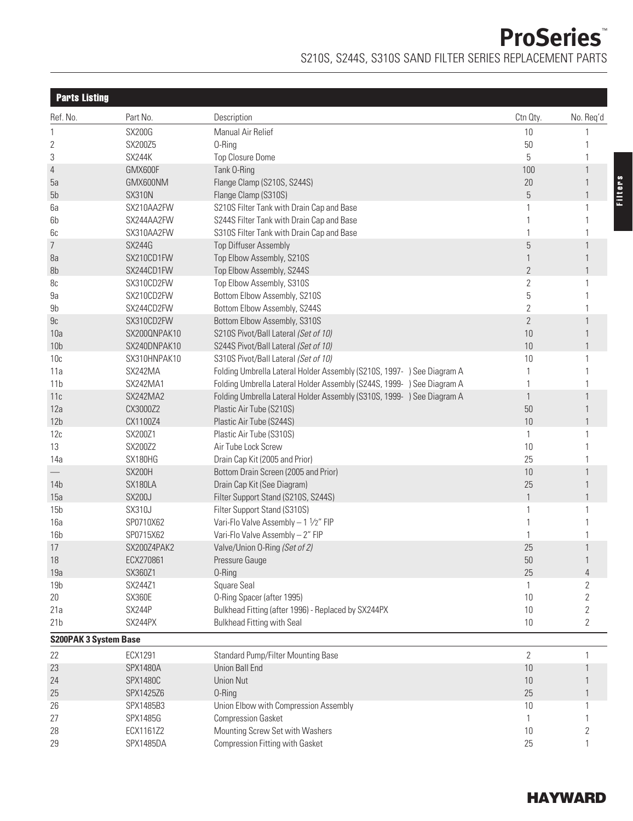**ProSeries**™ S210S, S244S, S310S SAND FILTER SERIES REPLACEMENT PARTS

| <b>Parts Listing</b>         |                 |                                                                        |                |              |
|------------------------------|-----------------|------------------------------------------------------------------------|----------------|--------------|
| Ref. No.                     | Part No.        | Description                                                            | Ctn Qty.       | No. Req'd    |
| 1                            | <b>SX200G</b>   | Manual Air Relief                                                      | 10             |              |
| 2                            | SX200Z5         | 0-Ring                                                                 | 50             |              |
| 3                            | SX244K          | <b>Top Closure Dome</b>                                                | 5              |              |
| 4                            | GMX600F         | Tank O-Ring                                                            | 100            | 1            |
| 5a                           | GMX600NM        | Flange Clamp (S210S, S244S)                                            | 20             |              |
| 5b                           | <b>SX310N</b>   | Flange Clamp (S310S)                                                   | $\mathbf 5$    | $\mathbf{1}$ |
| 6a                           | SX210AA2FW      | S210S Filter Tank with Drain Cap and Base                              |                | 1            |
| 6b                           | SX244AA2FW      | S244S Filter Tank with Drain Cap and Base                              |                |              |
| 6c                           | SX310AA2FW      | S310S Filter Tank with Drain Cap and Base                              |                |              |
| 7                            | <b>SX244G</b>   | <b>Top Diffuser Assembly</b>                                           | 5              | $\mathbf{1}$ |
| 8a                           | SX210CD1FW      | Top Elbow Assembly, S210S                                              |                |              |
| 8b                           | SX244CD1FW      | Top Elbow Assembly, S244S                                              | $\overline{2}$ |              |
| 8c                           | SX310CD2FW      | Top Elbow Assembly, S310S                                              | $\overline{2}$ | 1            |
| 9a                           | SX210CD2FW      | Bottom Elbow Assembly, S210S                                           | 5              |              |
| 9b                           | SX244CD2FW      | Bottom Elbow Assembly, S244S                                           | $\overline{2}$ |              |
| 9c                           | SX310CD2FW      | Bottom Elbow Assembly, S310S                                           | $\overline{2}$ | $\mathbf{1}$ |
| 10a                          | SX200QNPAK10    | S210S Pivot/Ball Lateral (Set of 10)                                   | 10             |              |
| 10 <sub>b</sub>              | SX240DNPAK10    | S244S Pivot/Ball Lateral (Set of 10)                                   | $10$           |              |
| 10 <sub>c</sub>              | SX310HNPAK10    | S310S Pivot/Ball Lateral (Set of 10)                                   | 10             | 1            |
| 11a                          | SX242MA         | Folding Umbrella Lateral Holder Assembly (S210S, 1997- ) See Diagram A |                |              |
| 11 <sub>b</sub>              | SX242MA1        | Folding Umbrella Lateral Holder Assembly (S244S, 1999- ) See Diagram A |                |              |
| 11c                          | SX242MA2        | Folding Umbrella Lateral Holder Assembly (S310S, 1999- ) See Diagram A | 1              | $\mathbf{1}$ |
| 12a                          | CX3000Z2        | Plastic Air Tube (S210S)                                               | 50             |              |
| 12 <sub>b</sub>              | CX1100Z4        | Plastic Air Tube (S244S)                                               | 10             |              |
| 12c                          | SX200Z1         | Plastic Air Tube (S310S)                                               | 1              | 1            |
| 13                           | SX200Z2         | Air Tube Lock Screw                                                    | 10             |              |
| 14a                          | SX180HG         | Drain Cap Kit (2005 and Prior)                                         | 25             |              |
|                              | SX200H          | Bottom Drain Screen (2005 and Prior)                                   | 10             | $\mathbf{1}$ |
| 14b                          | SX180LA         | Drain Cap Kit (See Diagram)                                            | 25             |              |
| 15a                          | <b>SX200J</b>   | Filter Support Stand (S210S, S244S)                                    |                |              |
| 15 <sub>b</sub>              | <b>SX310J</b>   | Filter Support Stand (S310S)                                           |                | 1            |
| 16a                          | SP0710X62       | Vari-Flo Valve Assembly - 1 1/2" FIP                                   |                |              |
| 16 <sub>b</sub>              | SP0715X62       | Vari-Flo Valve Assembly - 2" FIP                                       |                |              |
| 17                           | SX200Z4PAK2     | Valve/Union 0-Ring (Set of 2)                                          | 25             |              |
| 18                           | ECX270861       | Pressure Gauge                                                         | 50             |              |
| 19a                          | SX360Z1         | 0-Ring                                                                 | 25             | 4            |
| 19 <sub>b</sub>              | SX244Z1         | Square Seal                                                            |                | 2            |
| 20                           | SX360E          | O-Ring Spacer (after 1995)                                             | 10             |              |
| 21a                          | SX244P          | Bulkhead Fitting (after 1996) - Replaced by SX244PX                    | 10             | 2            |
| 21 <sub>b</sub>              | SX244PX         | <b>Bulkhead Fitting with Seal</b>                                      | 10             | 2            |
| <b>S200PAK 3 System Base</b> |                 |                                                                        |                |              |
| 22                           | ECX1291         | Standard Pump/Filter Mounting Base                                     | $\sqrt{2}$     | 1            |
| 23                           | <b>SPX1480A</b> | Union Ball End                                                         | 10             |              |
| 24                           | <b>SPX1480C</b> | <b>Union Nut</b>                                                       | 10             |              |
| 25                           | SPX1425Z6       | 0-Ring                                                                 | 25             |              |
| 26                           | SPX1485B3       | Union Elbow with Compression Assembly                                  | 10             | 1            |
| 27                           | SPX1485G        | <b>Compression Gasket</b>                                              |                |              |
| 28                           | ECX1161Z2       | Mounting Screw Set with Washers                                        | 10             | 2            |
| 29                           | SPX1485DA       | Compression Fitting with Gasket                                        | 25             | 1            |
|                              |                 |                                                                        |                |              |

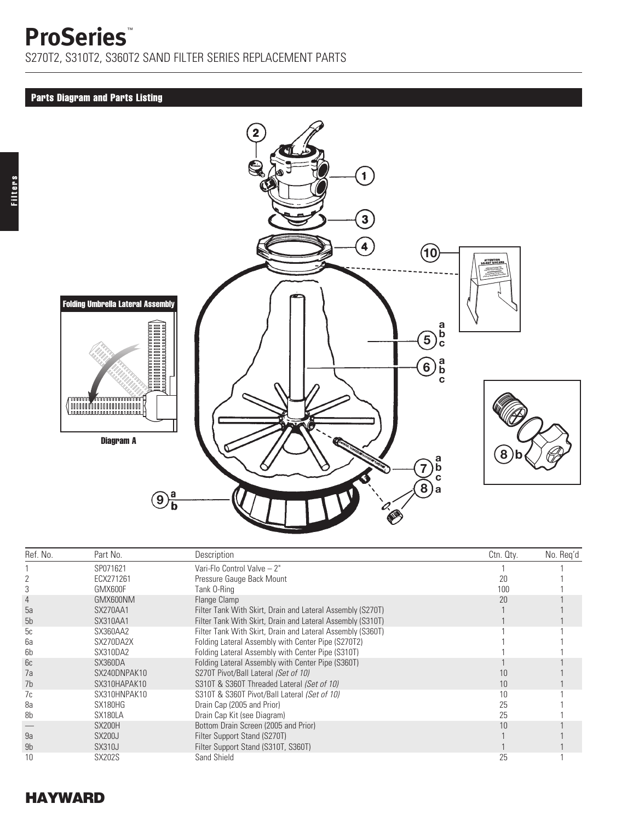Filters

S270T2, S310T2, S360T2 SAND FILTER SERIES REPLACEMENT PARTS

### Parts Diagram and Parts Listing



| Ref. No.       | Part No.      | Description                                                | Ctn. Qty. | No. Reg'd |
|----------------|---------------|------------------------------------------------------------|-----------|-----------|
|                | SP071621      | Vari-Flo Control Valve - 2"                                |           |           |
|                | ECX271261     | Pressure Gauge Back Mount                                  | 20        |           |
|                | GMX600F       | Tank O-Ring                                                | 100       |           |
|                | GMX600NM      | Flange Clamp                                               | 20        |           |
| 5a             | SX270AA1      | Filter Tank With Skirt, Drain and Lateral Assembly (S270T) |           |           |
| 5 <sub>b</sub> | SX310AA1      | Filter Tank With Skirt, Drain and Lateral Assembly (S310T) |           |           |
| 5c             | SX360AA2      | Filter Tank With Skirt, Drain and Lateral Assembly (S360T) |           |           |
| 6a             | SX270DA2X     | Folding Lateral Assembly with Center Pipe (S270T2)         |           |           |
| 6b             | SX310DA2      | Folding Lateral Assembly with Center Pipe (S310T)          |           |           |
| 6c             | SX360DA       | Folding Lateral Assembly with Center Pipe (S360T)          |           |           |
| 7a             | SX240DNPAK10  | S270T Pivot/Ball Lateral (Set of 10)                       |           |           |
| 7b             | SX310HAPAK10  | S310T & S360T Threaded Lateral (Set of 10)                 | 10        |           |
| 7c             | SX310HNPAK10  | S310T & S360T Pivot/Ball Lateral (Set of 10)               | 10        |           |
| 8a             | SX180HG       | Drain Cap (2005 and Prior)                                 | 25        |           |
| 8b             | SX180LA       | Drain Cap Kit (see Diagram)                                | 25        |           |
|                | SX200H        | Bottom Drain Screen (2005 and Prior)                       | 10        |           |
| 9a             | <b>SX200J</b> | Filter Support Stand (S270T)                               |           |           |
| 9b             | <b>SX310J</b> | Filter Support Stand (S310T, S360T)                        |           |           |
| 10             | <b>SX202S</b> | Sand Shield                                                | 25        |           |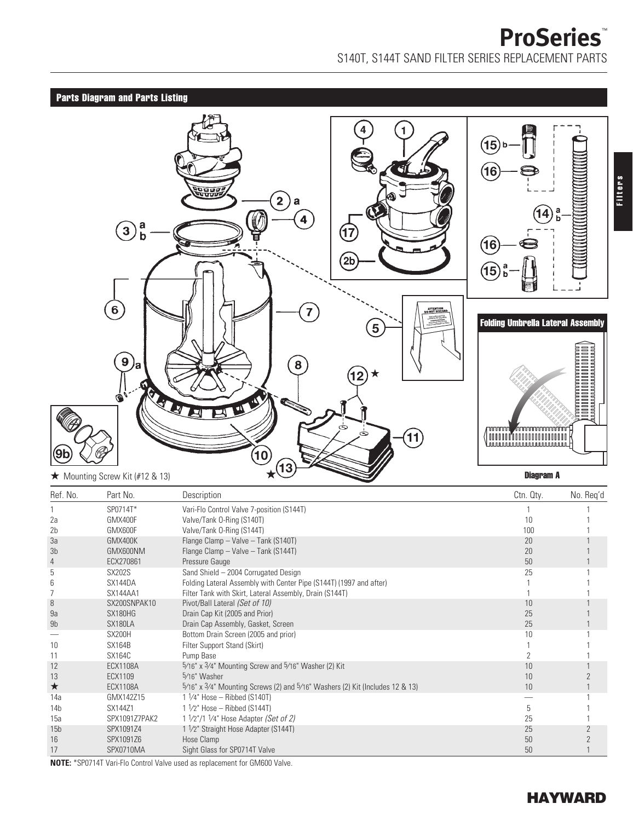# **ProSeries**™ S140T, S144T SAND FILTER SERIES REPLACEMENT PARTS

## Parts Diagram and Parts Listing



| Ref. No.        | Part No.        | Description                                                                            | Ctn. Qty. | No. Reg'd |
|-----------------|-----------------|----------------------------------------------------------------------------------------|-----------|-----------|
|                 | SP0714T*        | Vari-Flo Control Valve 7-position (S144T)                                              |           |           |
| 2a              | GMX400F         | Valve/Tank O-Ring (S140T)                                                              | 10        |           |
| 2 <sub>b</sub>  | GMX600F         | Valve/Tank O-Ring (S144T)                                                              | 100       |           |
| 3a              | GMX400K         | Flange Clamp - Valve - Tank (S140T)                                                    | 20        |           |
| 3 <sub>b</sub>  | GMX600NM        | Flange Clamp - Valve - Tank (S144T)                                                    | 20        |           |
| 4               | ECX270861       | Pressure Gauge                                                                         | 50        |           |
| 5               | <b>SX202S</b>   | Sand Shield - 2004 Corrugated Design                                                   | 25        |           |
| 6               | SX144DA         | Folding Lateral Assembly with Center Pipe (S144T) (1997 and after)                     |           |           |
| 7               | SX144AA1        | Filter Tank with Skirt, Lateral Assembly, Drain (S144T)                                |           |           |
| 8               | SX200SNPAK10    | Pivot/Ball Lateral (Set of 10)                                                         | 10        |           |
| 9a              | SX180HG         | Drain Cap Kit (2005 and Prior)                                                         | 25        |           |
| 9b              | SX180LA         | Drain Cap Assembly, Gasket, Screen                                                     | 25        |           |
|                 | SX200H          | Bottom Drain Screen (2005 and prior)                                                   | 10        |           |
| 10              | <b>SX164B</b>   | Filter Support Stand (Skirt)                                                           |           |           |
| 11              | <b>SX164C</b>   | Pump Base                                                                              |           |           |
| 12              | <b>ECX1108A</b> | $\frac{5}{16}$ x $\frac{3}{4}$ Mounting Screw and $\frac{5}{16}$ Washer (2) Kit        | 10        |           |
| 13              | ECX1109         | 5/16" Washer                                                                           | 10        |           |
| ★               | <b>ECX1108A</b> | $5/16$ " x $3/4$ " Mounting Screws (2) and $5/16$ " Washers (2) Kit (Includes 12 & 13) | 10        |           |
| 14a             | GMX142Z15       | $1\frac{1}{4}$ Hose - Ribbed (S140T)                                                   |           |           |
| 14b             | SX144Z1         | $1\frac{1}{2}$ Hose - Ribbed (S144T)                                                   | 5         |           |
| 15a             | SPX1091Z7PAK2   | 1 1/2"/1 1/4" Hose Adapter (Set of 2)                                                  | 25        |           |
| 15 <sub>b</sub> | SPX1091Z4       | 1 1/2" Straight Hose Adapter (S144T)                                                   | 25        |           |
| 16              | SPX1091Z6       | Hose Clamp                                                                             | 50        |           |
| 17              | SPX0710MA       | Sight Glass for SP0714T Valve                                                          | 50        |           |

**NOTE:** \*SP0714T Vari-Flo Control Valve used as replacement for GM600 Valve.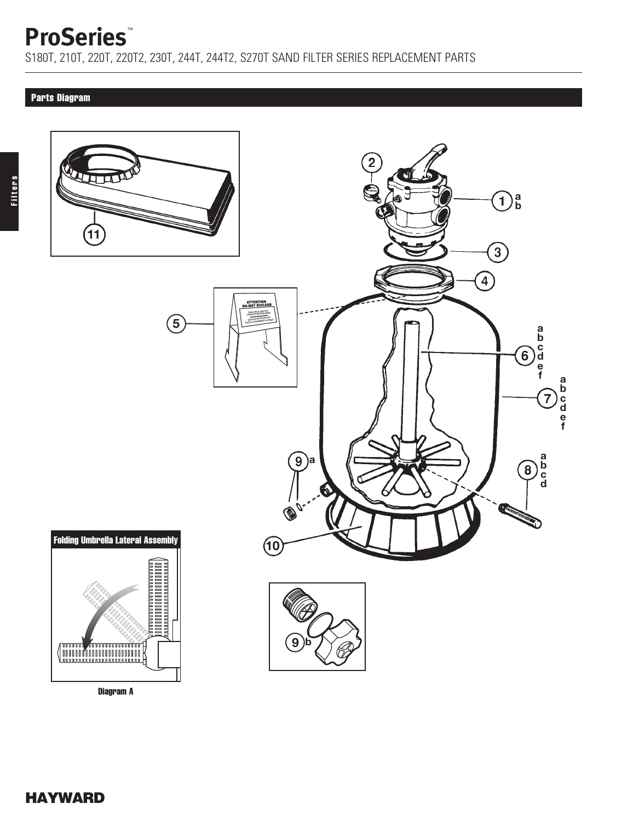S180T, 210T, 220T, 220T2, 230T, 244T, 244T2, S270T SAND FILTER SERIES REPLACEMENT PARTS

### Parts Diagram



Diagram A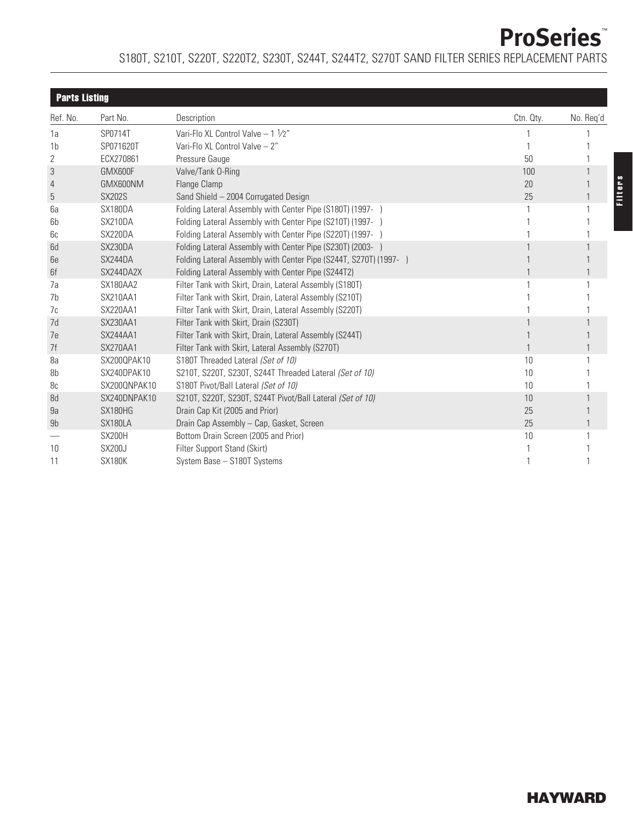## S180T, S210T, S220T, S220T2, S230T, S244T, S244T2, S270T SAND FILTER SERIES REPLACEMENT PARTS

| <b>Parts Listing</b> |               |                                                                   |           |           |  |
|----------------------|---------------|-------------------------------------------------------------------|-----------|-----------|--|
| Ref. No.             | Part No.      | Description                                                       | Ctn. Qty. | No. Req'd |  |
| 1a                   | SP0714T       | Vari-Flo XL Control Valve - 1 1/2"                                |           |           |  |
| 1 <sub>b</sub>       | SP071620T     | Vari-Flo XL Control Valve - 2"                                    |           |           |  |
| 2                    | ECX270861     | Pressure Gauge                                                    | 50        |           |  |
| 3                    | GMX600F       | Valve/Tank 0-Ring                                                 | 100       |           |  |
| 4                    | GMX600NM      | Flange Clamp                                                      | 20        |           |  |
| 5                    | <b>SX202S</b> | Sand Shield - 2004 Corrugated Design                              | 25        |           |  |
| 6a                   | SX180DA       | Folding Lateral Assembly with Center Pipe (S180T) (1997- )        |           |           |  |
| 6b                   | SX210DA       | Folding Lateral Assembly with Center Pipe (S210T) (1997- )        |           |           |  |
| 6c                   | SX220DA       | Folding Lateral Assembly with Center Pipe (S220T) (1997- )        |           |           |  |
| 6d                   | SX230DA       | Folding Lateral Assembly with Center Pipe (S230T) (2003- )        |           |           |  |
| 6e                   | SX244DA       | Folding Lateral Assembly with Center Pipe (S244T, S270T) (1997- ) |           |           |  |
| 6f                   | SX244DA2X     | Folding Lateral Assembly with Center Pipe (S244T2)                |           |           |  |
| 7a                   | SX180AA2      | Filter Tank with Skirt, Drain, Lateral Assembly (S180T)           |           |           |  |
| 7b                   | SX210AA1      | Filter Tank with Skirt, Drain, Lateral Assembly (S210T)           |           |           |  |
| 7c                   | SX220AA1      | Filter Tank with Skirt, Drain, Lateral Assembly (S220T)           |           |           |  |
| 7d                   | SX230AA1      | Filter Tank with Skirt, Drain (S230T)                             |           |           |  |
| 7e                   | SX244AA1      | Filter Tank with Skirt, Drain, Lateral Assembly (S244T)           |           |           |  |
| 7f                   | SX270AA1      | Filter Tank with Skirt, Lateral Assembly (S270T)                  |           |           |  |
| 8a                   | SX200QPAK10   | S180T Threaded Lateral (Set of 10)                                | 10        |           |  |
| 8b                   | SX240DPAK10   | S210T, S220T, S230T, S244T Threaded Lateral (Set of 10)           | 10        |           |  |
| 8c                   | SX200QNPAK10  | S180T Pivot/Ball Lateral (Set of 10)                              | 10        |           |  |
| 8d                   | SX240DNPAK10  | S210T, S220T, S230T, S244T Pivot/Ball Lateral (Set of 10)         | 10        |           |  |
| 9a                   | SX180HG       | Drain Cap Kit (2005 and Prior)                                    | 25        |           |  |
| 9b                   | SX180LA       | Drain Cap Assembly - Cap, Gasket, Screen                          | 25        |           |  |
|                      | SX200H        | Bottom Drain Screen (2005 and Prior)                              | 10        |           |  |
| 10                   | <b>SX200J</b> | Filter Support Stand (Skirt)                                      |           |           |  |
| 11                   | <b>SX180K</b> | System Base - S180T Systems                                       |           |           |  |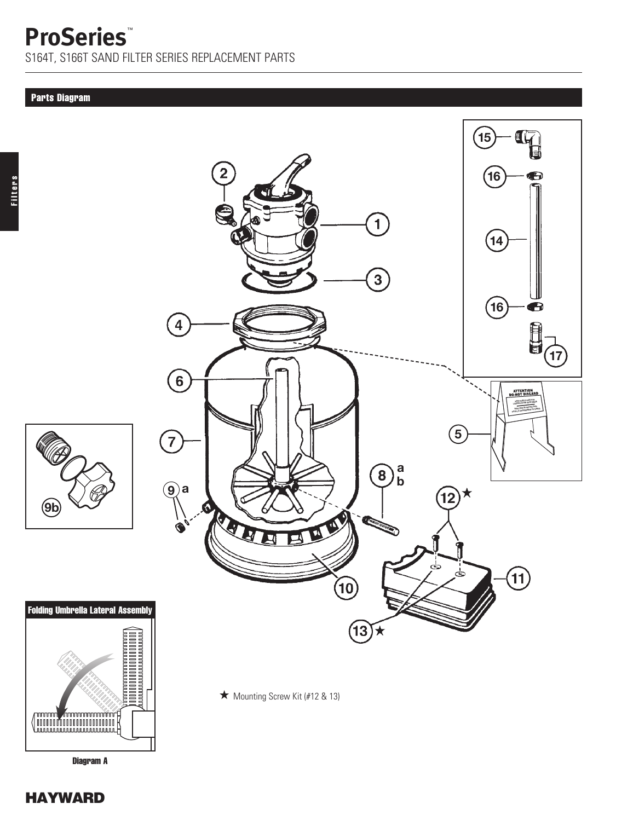S164T, S166T SAND FILTER SERIES REPLACEMENT PARTS

#### Parts Diagram



 $\bigstar$  Mounting Screw Kit (#12 & 13)



Diagram A